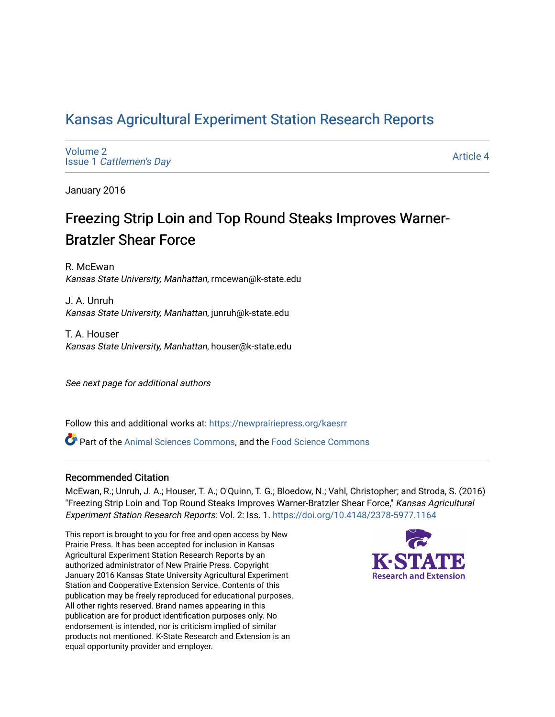# [Kansas Agricultural Experiment Station Research Reports](https://newprairiepress.org/kaesrr)

[Volume 2](https://newprairiepress.org/kaesrr/vol2) Issue 1 [Cattlemen's Day](https://newprairiepress.org/kaesrr/vol2/iss1) 

[Article 4](https://newprairiepress.org/kaesrr/vol2/iss1/4) 

January 2016

# Freezing Strip Loin and Top Round Steaks Improves Warner-Bratzler Shear Force

R. McEwan Kansas State University, Manhattan, rmcewan@k-state.edu

J. A. Unruh Kansas State University, Manhattan, junruh@k-state.edu

T. A. Houser Kansas State University, Manhattan, houser@k-state.edu

See next page for additional authors

Follow this and additional works at: [https://newprairiepress.org/kaesrr](https://newprairiepress.org/kaesrr?utm_source=newprairiepress.org%2Fkaesrr%2Fvol2%2Fiss1%2F4&utm_medium=PDF&utm_campaign=PDFCoverPages) 

Part of the [Animal Sciences Commons,](http://network.bepress.com/hgg/discipline/76?utm_source=newprairiepress.org%2Fkaesrr%2Fvol2%2Fiss1%2F4&utm_medium=PDF&utm_campaign=PDFCoverPages) and the [Food Science Commons](http://network.bepress.com/hgg/discipline/84?utm_source=newprairiepress.org%2Fkaesrr%2Fvol2%2Fiss1%2F4&utm_medium=PDF&utm_campaign=PDFCoverPages) 

### Recommended Citation

McEwan, R.; Unruh, J. A.; Houser, T. A.; O'Quinn, T. G.; Bloedow, N.; Vahl, Christopher; and Stroda, S. (2016) "Freezing Strip Loin and Top Round Steaks Improves Warner-Bratzler Shear Force," Kansas Agricultural Experiment Station Research Reports: Vol. 2: Iss. 1. <https://doi.org/10.4148/2378-5977.1164>

This report is brought to you for free and open access by New Prairie Press. It has been accepted for inclusion in Kansas Agricultural Experiment Station Research Reports by an authorized administrator of New Prairie Press. Copyright January 2016 Kansas State University Agricultural Experiment Station and Cooperative Extension Service. Contents of this publication may be freely reproduced for educational purposes. All other rights reserved. Brand names appearing in this publication are for product identification purposes only. No endorsement is intended, nor is criticism implied of similar products not mentioned. K-State Research and Extension is an equal opportunity provider and employer.

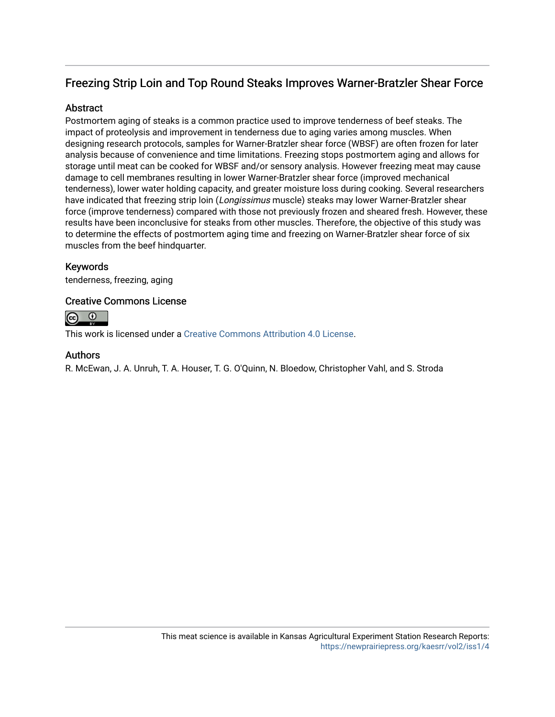# Freezing Strip Loin and Top Round Steaks Improves Warner-Bratzler Shear Force

### **Abstract**

Postmortem aging of steaks is a common practice used to improve tenderness of beef steaks. The impact of proteolysis and improvement in tenderness due to aging varies among muscles. When designing research protocols, samples for Warner-Bratzler shear force (WBSF) are often frozen for later analysis because of convenience and time limitations. Freezing stops postmortem aging and allows for storage until meat can be cooked for WBSF and/or sensory analysis. However freezing meat may cause damage to cell membranes resulting in lower Warner-Bratzler shear force (improved mechanical tenderness), lower water holding capacity, and greater moisture loss during cooking. Several researchers have indicated that freezing strip loin (Longissimus muscle) steaks may lower Warner-Bratzler shear force (improve tenderness) compared with those not previously frozen and sheared fresh. However, these results have been inconclusive for steaks from other muscles. Therefore, the objective of this study was to determine the effects of postmortem aging time and freezing on Warner-Bratzler shear force of six muscles from the beef hindquarter.

### Keywords

tenderness, freezing, aging

### Creative Commons License



This work is licensed under a [Creative Commons Attribution 4.0 License](https://creativecommons.org/licenses/by/4.0/).

### Authors

R. McEwan, J. A. Unruh, T. A. Houser, T. G. O'Quinn, N. Bloedow, Christopher Vahl, and S. Stroda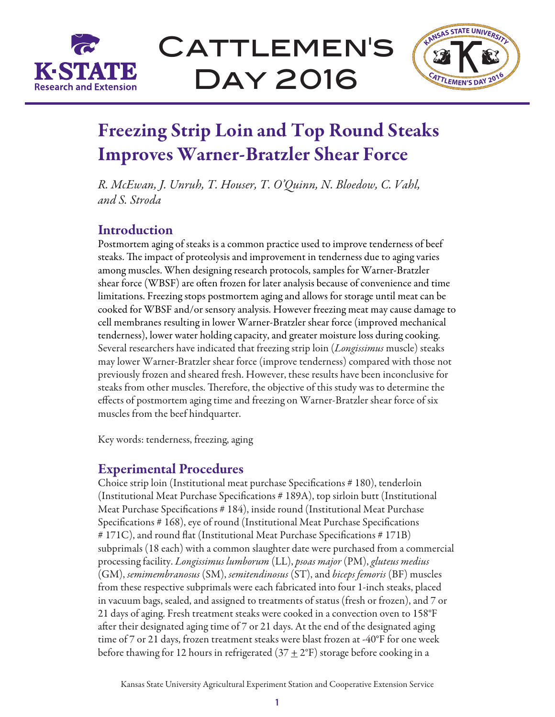

# CATTLEMEN'S Day 2016



# Freezing Strip Loin and Top Round Steaks Improves Warner-Bratzler Shear Force

*R. McEwan, J. Unruh, T. Houser, T. O'Quinn, N. Bloedow, C. Vahl, and S. Stroda*

# Introduction

Postmortem aging of steaks is a common practice used to improve tenderness of beef steaks. The impact of proteolysis and improvement in tenderness due to aging varies among muscles. When designing research protocols, samples for Warner-Bratzler shear force (WBSF) are often frozen for later analysis because of convenience and time limitations. Freezing stops postmortem aging and allows for storage until meat can be cooked for WBSF and/or sensory analysis. However freezing meat may cause damage to cell membranes resulting in lower Warner-Bratzler shear force (improved mechanical tenderness), lower water holding capacity, and greater moisture loss during cooking. Several researchers have indicated that freezing strip loin (*Longissimus* muscle) steaks may lower Warner-Bratzler shear force (improve tenderness) compared with those not previously frozen and sheared fresh. However, these results have been inconclusive for steaks from other muscles. Therefore, the objective of this study was to determine the effects of postmortem aging time and freezing on Warner-Bratzler shear force of six muscles from the beef hindquarter.

Key words: tenderness, freezing, aging

## Experimental Procedures

Choice strip loin (Institutional meat purchase Specifications # 180), tenderloin (Institutional Meat Purchase Specifications # 189A), top sirloin butt (Institutional Meat Purchase Specifications # 184), inside round (Institutional Meat Purchase Specifications # 168), eye of round (Institutional Meat Purchase Specifications # 171C), and round flat (Institutional Meat Purchase Specifications # 171B) subprimals (18 each) with a common slaughter date were purchased from a commercial processing facility. *Longissimus lumborum* (LL), *psoas major* (PM), *gluteus medius* (GM), *semimembranosus* (SM), *semitendinosus* (ST), and *biceps femoris* (BF) muscles from these respective subprimals were each fabricated into four 1-inch steaks, placed in vacuum bags, sealed, and assigned to treatments of status (fresh or frozen), and 7 or 21 days of aging. Fresh treatment steaks were cooked in a convection oven to 158°F after their designated aging time of 7 or 21 days. At the end of the designated aging time of 7 or 21 days, frozen treatment steaks were blast frozen at -40°F for one week before thawing for 12 hours in refrigerated (37  $\pm$  2°F) storage before cooking in a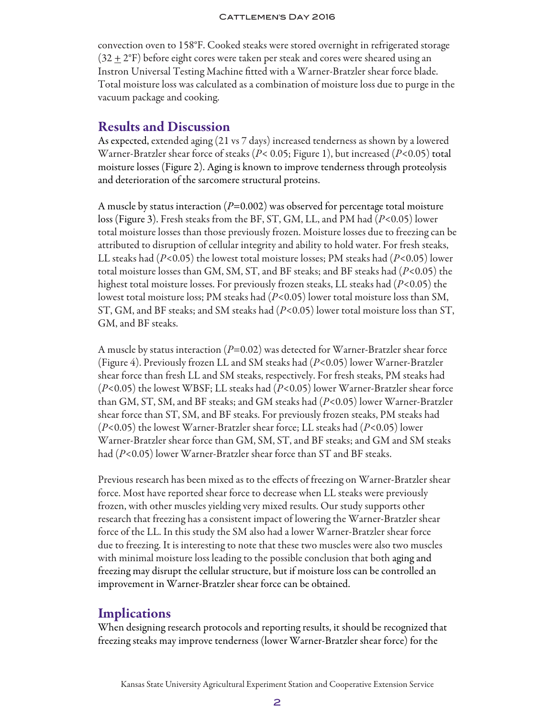### CATTLEMEN'S DAY 2016

convection oven to 158°F. Cooked steaks were stored overnight in refrigerated storage  $(32 \pm 2$ °F) before eight cores were taken per steak and cores were sheared using an Instron Universal Testing Machine fitted with a Warner-Bratzler shear force blade. Total moisture loss was calculated as a combination of moisture loss due to purge in the vacuum package and cooking.

### Results and Discussion

As expected, extended aging (21 vs 7 days) increased tenderness as shown by a lowered Warner-Bratzler shear force of steaks (*P*< 0.05; Figure 1), but increased (*P*<0.05) total moisture losses (Figure 2). Aging is known to improve tenderness through proteolysis and deterioration of the sarcomere structural proteins.

A muscle by status interaction (*P*=0.002) was observed for percentage total moisture loss (Figure 3). Fresh steaks from the BF, ST, GM, LL, and PM had (*P*<0.05) lower total moisture losses than those previously frozen. Moisture losses due to freezing can be attributed to disruption of cellular integrity and ability to hold water. For fresh steaks, LL steaks had (*P*<0.05) the lowest total moisture losses; PM steaks had (*P*<0.05) lower total moisture losses than GM, SM, ST, and BF steaks; and BF steaks had (*P*<0.05) the highest total moisture losses. For previously frozen steaks, LL steaks had (*P*<0.05) the lowest total moisture loss; PM steaks had (*P*<0.05) lower total moisture loss than SM, ST, GM, and BF steaks; and SM steaks had (*P*<0.05) lower total moisture loss than ST, GM, and BF steaks.

A muscle by status interaction (*P*=0.02) was detected for Warner-Bratzler shear force (Figure 4). Previously frozen LL and SM steaks had (*P*<0.05) lower Warner-Bratzler shear force than fresh LL and SM steaks, respectively. For fresh steaks, PM steaks had (*P*<0.05) the lowest WBSF; LL steaks had (*P*<0.05) lower Warner-Bratzler shear force than GM, ST, SM, and BF steaks; and GM steaks had (*P*<0.05) lower Warner-Bratzler shear force than ST, SM, and BF steaks. For previously frozen steaks, PM steaks had (*P*<0.05) the lowest Warner-Bratzler shear force; LL steaks had (*P*<0.05) lower Warner-Bratzler shear force than GM, SM, ST, and BF steaks; and GM and SM steaks had (*P*<0.05) lower Warner-Bratzler shear force than ST and BF steaks.

Previous research has been mixed as to the effects of freezing on Warner-Bratzler shear force. Most have reported shear force to decrease when LL steaks were previously frozen, with other muscles yielding very mixed results. Our study supports other research that freezing has a consistent impact of lowering the Warner-Bratzler shear force of the LL. In this study the SM also had a lower Warner-Bratzler shear force due to freezing. It is interesting to note that these two muscles were also two muscles with minimal moisture loss leading to the possible conclusion that both aging and freezing may disrupt the cellular structure, but if moisture loss can be controlled an improvement in Warner-Bratzler shear force can be obtained.

### **Implications**

When designing research protocols and reporting results, it should be recognized that freezing steaks may improve tenderness (lower Warner-Bratzler shear force) for the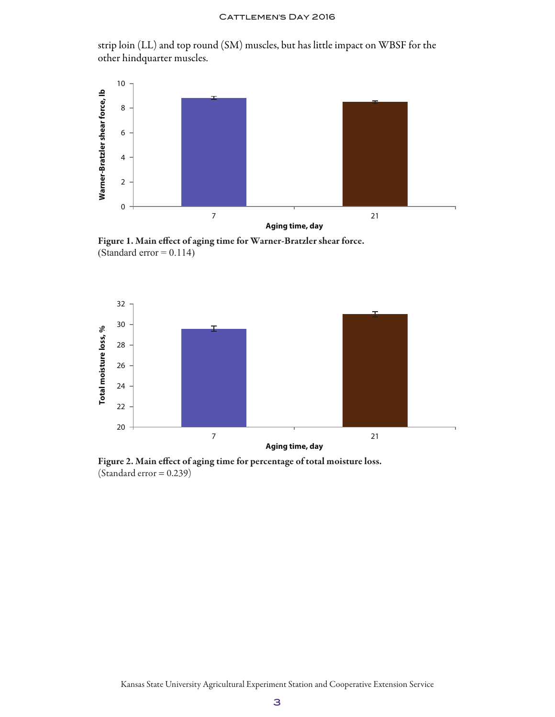strip loin (LL) and top round (SM) muscles, but has little impact on WBSF for the other hindquarter muscles.



Figure 1. Main effect of aging time for Warner-Bratzler shear force. (Standard error  $= 0.114$ )



Figure 2. Main effect of aging time for percentage of total moisture loss.  $(Standard error = 0.239)$